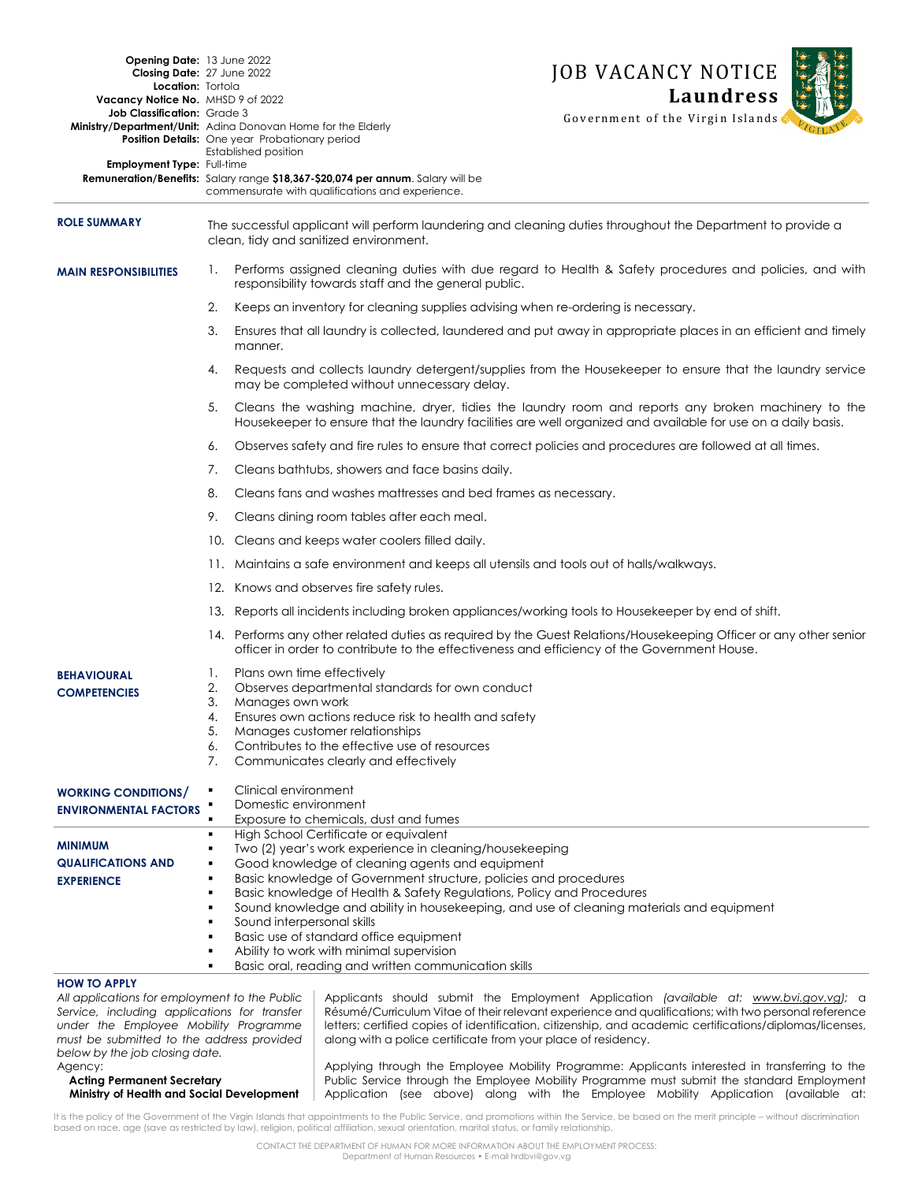| Opening Date: 13 June 2022                                                                                                                                                                                            |                                                                                                                                                       |                                                                                                                                                                                                                          |                                                                                                                                     | <b>JOB VACANCY NOTICE</b>                                                                                                                                                                                                                                                                                 |  |
|-----------------------------------------------------------------------------------------------------------------------------------------------------------------------------------------------------------------------|-------------------------------------------------------------------------------------------------------------------------------------------------------|--------------------------------------------------------------------------------------------------------------------------------------------------------------------------------------------------------------------------|-------------------------------------------------------------------------------------------------------------------------------------|-----------------------------------------------------------------------------------------------------------------------------------------------------------------------------------------------------------------------------------------------------------------------------------------------------------|--|
| Closing Date: 27 June 2022<br>Location: Tortola                                                                                                                                                                       |                                                                                                                                                       |                                                                                                                                                                                                                          |                                                                                                                                     |                                                                                                                                                                                                                                                                                                           |  |
| Vacancy Notice No. MHSD 9 of 2022                                                                                                                                                                                     |                                                                                                                                                       |                                                                                                                                                                                                                          |                                                                                                                                     | <b>Laundress</b>                                                                                                                                                                                                                                                                                          |  |
| Job Classification: Grade 3<br>Ministry/Department/Unit: Adina Donovan Home for the Elderly                                                                                                                           |                                                                                                                                                       | <b>Position Details:</b> One year Probationary period<br>Established position                                                                                                                                            |                                                                                                                                     | Government of the Virgin Islands                                                                                                                                                                                                                                                                          |  |
| Employment Type: Full-time                                                                                                                                                                                            |                                                                                                                                                       |                                                                                                                                                                                                                          | Remuneration/Benefits: Salary range \$18,367-\$20,074 per annum. Salary will be<br>commensurate with qualifications and experience. |                                                                                                                                                                                                                                                                                                           |  |
| <b>ROLE SUMMARY</b>                                                                                                                                                                                                   | The successful applicant will perform laundering and cleaning duties throughout the Department to provide a<br>clean, tidy and sanitized environment. |                                                                                                                                                                                                                          |                                                                                                                                     |                                                                                                                                                                                                                                                                                                           |  |
| <b>MAIN RESPONSIBILITIES</b>                                                                                                                                                                                          | 1.                                                                                                                                                    | Performs assigned cleaning duties with due regard to Health & Safety procedures and policies, and with<br>responsibility towards staff and the general public.                                                           |                                                                                                                                     |                                                                                                                                                                                                                                                                                                           |  |
|                                                                                                                                                                                                                       |                                                                                                                                                       | 2.<br>Keeps an inventory for cleaning supplies advising when re-ordering is necessary.                                                                                                                                   |                                                                                                                                     |                                                                                                                                                                                                                                                                                                           |  |
|                                                                                                                                                                                                                       |                                                                                                                                                       | Ensures that all laundry is collected, laundered and put away in appropriate places in an efficient and timely<br>3.<br>manner.                                                                                          |                                                                                                                                     |                                                                                                                                                                                                                                                                                                           |  |
|                                                                                                                                                                                                                       | 4.                                                                                                                                                    |                                                                                                                                                                                                                          | may be completed without unnecessary delay.                                                                                         | Requests and collects laundry detergent/supplies from the Housekeeper to ensure that the laundry service                                                                                                                                                                                                  |  |
|                                                                                                                                                                                                                       |                                                                                                                                                       | 5.<br>Cleans the washing machine, dryer, tidies the laundry room and reports any broken machinery to the<br>Housekeeper to ensure that the laundry facilities are well organized and available for use on a daily basis. |                                                                                                                                     |                                                                                                                                                                                                                                                                                                           |  |
|                                                                                                                                                                                                                       |                                                                                                                                                       | Observes safety and fire rules to ensure that correct policies and procedures are followed at all times.<br>6.                                                                                                           |                                                                                                                                     |                                                                                                                                                                                                                                                                                                           |  |
|                                                                                                                                                                                                                       | 7.                                                                                                                                                    |                                                                                                                                                                                                                          | Cleans bathtubs, showers and face basins daily.                                                                                     |                                                                                                                                                                                                                                                                                                           |  |
|                                                                                                                                                                                                                       | 8.                                                                                                                                                    |                                                                                                                                                                                                                          | Cleans fans and washes mattresses and bed frames as necessary.                                                                      |                                                                                                                                                                                                                                                                                                           |  |
|                                                                                                                                                                                                                       | 9.                                                                                                                                                    |                                                                                                                                                                                                                          | Cleans dining room tables after each meal.                                                                                          |                                                                                                                                                                                                                                                                                                           |  |
|                                                                                                                                                                                                                       |                                                                                                                                                       |                                                                                                                                                                                                                          | 10. Cleans and keeps water coolers filled daily.                                                                                    |                                                                                                                                                                                                                                                                                                           |  |
|                                                                                                                                                                                                                       |                                                                                                                                                       | 11. Maintains a safe environment and keeps all utensils and tools out of halls/walkways.                                                                                                                                 |                                                                                                                                     |                                                                                                                                                                                                                                                                                                           |  |
|                                                                                                                                                                                                                       |                                                                                                                                                       | 12. Knows and observes fire safety rules.                                                                                                                                                                                |                                                                                                                                     |                                                                                                                                                                                                                                                                                                           |  |
|                                                                                                                                                                                                                       | 13. Reports all incidents including broken appliances/working tools to Housekeeper by end of shift.                                                   |                                                                                                                                                                                                                          |                                                                                                                                     |                                                                                                                                                                                                                                                                                                           |  |
|                                                                                                                                                                                                                       |                                                                                                                                                       | 14. Performs any other related duties as required by the Guest Relations/Housekeeping Officer or any other senior<br>officer in order to contribute to the effectiveness and efficiency of the Government House.         |                                                                                                                                     |                                                                                                                                                                                                                                                                                                           |  |
| <b>BEHAVIOURAL</b>                                                                                                                                                                                                    | 1.                                                                                                                                                    | Plans own time effectively                                                                                                                                                                                               |                                                                                                                                     |                                                                                                                                                                                                                                                                                                           |  |
| <b>COMPETENCIES</b>                                                                                                                                                                                                   | 2.                                                                                                                                                    | Observes departmental standards for own conduct                                                                                                                                                                          |                                                                                                                                     |                                                                                                                                                                                                                                                                                                           |  |
|                                                                                                                                                                                                                       | 3.<br>4.                                                                                                                                              | Manages own work                                                                                                                                                                                                         |                                                                                                                                     |                                                                                                                                                                                                                                                                                                           |  |
|                                                                                                                                                                                                                       | 5.                                                                                                                                                    | Ensures own actions reduce risk to health and safety<br>Manages customer relationships                                                                                                                                   |                                                                                                                                     |                                                                                                                                                                                                                                                                                                           |  |
|                                                                                                                                                                                                                       |                                                                                                                                                       | Contributes to the effective use of resources                                                                                                                                                                            |                                                                                                                                     |                                                                                                                                                                                                                                                                                                           |  |
|                                                                                                                                                                                                                       |                                                                                                                                                       | 7.<br>Communicates clearly and effectively                                                                                                                                                                               |                                                                                                                                     |                                                                                                                                                                                                                                                                                                           |  |
| <b>WORKING CONDITIONS/</b>                                                                                                                                                                                            | ٠                                                                                                                                                     | Clinical environment                                                                                                                                                                                                     |                                                                                                                                     |                                                                                                                                                                                                                                                                                                           |  |
| <b>ENVIRONMENTAL FACTORS</b>                                                                                                                                                                                          | Domestic environment<br>Exposure to chemicals, dust and fumes<br>$\blacksquare$                                                                       |                                                                                                                                                                                                                          |                                                                                                                                     |                                                                                                                                                                                                                                                                                                           |  |
|                                                                                                                                                                                                                       | ٠                                                                                                                                                     | High School Certificate or equivalent                                                                                                                                                                                    |                                                                                                                                     |                                                                                                                                                                                                                                                                                                           |  |
| <b>MINIMUM</b>                                                                                                                                                                                                        | ٠                                                                                                                                                     | Two (2) year's work experience in cleaning/housekeeping                                                                                                                                                                  |                                                                                                                                     |                                                                                                                                                                                                                                                                                                           |  |
| <b>QUALIFICATIONS AND</b>                                                                                                                                                                                             | ٠                                                                                                                                                     | Good knowledge of cleaning agents and equipment                                                                                                                                                                          |                                                                                                                                     |                                                                                                                                                                                                                                                                                                           |  |
| <b>EXPERIENCE</b>                                                                                                                                                                                                     | ٠                                                                                                                                                     | Basic knowledge of Government structure, policies and procedures<br>٠<br>Basic knowledge of Health & Safety Regulations, Policy and Procedures                                                                           |                                                                                                                                     |                                                                                                                                                                                                                                                                                                           |  |
|                                                                                                                                                                                                                       | Sound knowledge and ability in housekeeping, and use of cleaning materials and equipment<br>٠                                                         |                                                                                                                                                                                                                          |                                                                                                                                     |                                                                                                                                                                                                                                                                                                           |  |
|                                                                                                                                                                                                                       | Sound interpersonal skills<br>٠                                                                                                                       |                                                                                                                                                                                                                          |                                                                                                                                     |                                                                                                                                                                                                                                                                                                           |  |
|                                                                                                                                                                                                                       | Basic use of standard office equipment<br>٠                                                                                                           |                                                                                                                                                                                                                          |                                                                                                                                     |                                                                                                                                                                                                                                                                                                           |  |
|                                                                                                                                                                                                                       |                                                                                                                                                       | Ability to work with minimal supervision<br>٠<br>Basic oral, reading and written communication skills<br>٠                                                                                                               |                                                                                                                                     |                                                                                                                                                                                                                                                                                                           |  |
| <b>HOW TO APPLY</b>                                                                                                                                                                                                   |                                                                                                                                                       |                                                                                                                                                                                                                          |                                                                                                                                     |                                                                                                                                                                                                                                                                                                           |  |
| All applications for employment to the Public<br>Service, including applications for transfer<br>under the Employee Mobility Programme<br>must be submitted to the address provided<br>below by the job closing date. |                                                                                                                                                       |                                                                                                                                                                                                                          | along with a police certificate from your place of residency.                                                                       | Applicants should submit the Employment Application (available at: www.bvi.gov.vg); a<br>Résumé/Curriculum Vitae of their relevant experience and qualifications; with two personal reference<br>letters; certified copies of identification, citizenship, and academic certifications/diplomas/licenses, |  |
| Agency:<br><b>Acting Permanent Secretary</b><br>Ministry of Health and Social Development                                                                                                                             |                                                                                                                                                       |                                                                                                                                                                                                                          |                                                                                                                                     | Applying through the Employee Mobility Programme: Applicants interested in transferring to the<br>Public Service through the Employee Mobility Programme must submit the standard Employment<br>Application (see above) along with the Employee Mobility Application (available at:                       |  |

 $36 - 26$ 

It is the policy of the Government of the Virgin Islands that appointments to the Public Service, and promotions within the Service, be based on the merit principle – without discrimination<br>based on race, age (save as rest